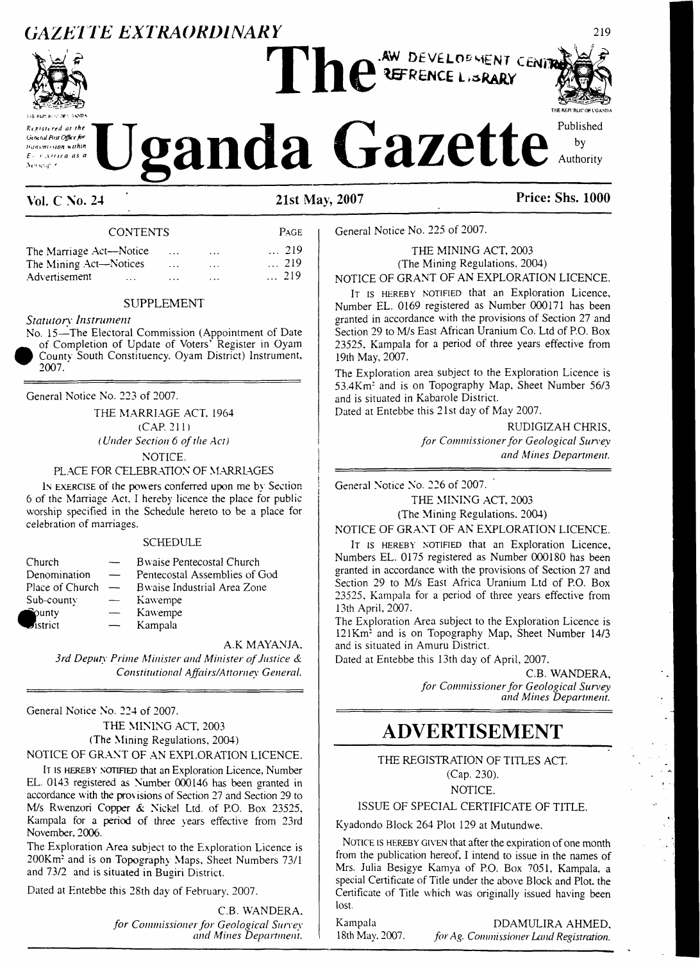# **GAZETTE** EXTRAORDINARY



**114 ELR. K 'C Of'. :.V®A**

# **THE HER BL1C OF VGASDA** *Registered at the*  $\bigcup$  gandal  $\bigcup$  **ganda**  $\bigcap$  **a** *A* **a** *Gazette* **<sup>Published <b>C** *by*</sup>

**Vol. C No. 24 21st May, 2007 Price: Shs. 1000**

#### CONTENTS Page

| The Marriage Act—Notice   | $\cdots$ | $\cdots$ | $\ldots$ 219 |
|---------------------------|----------|----------|--------------|
| The Mining Act-Notices    | $\cdots$ | $\cdots$ | $\ldots$ 219 |
| Advertisement<br>$\cdots$ | $\cdots$ | $\cdots$ | $\dots$ 219  |

#### SUPPLEMENT

#### *Statutory Instrument*

No. 15—The Electoral Commission (Appointment of Date of Completion of Update of Voters' Register in Oyam County South Constituency. Oyam District) Instrument, 2007.

General Notice No. 223 of 2007.

THE MARRIAGE ACT, 1964 (CAP. 211) *(Under Section 6 ofthe Act)* NOTICE.

PLACE FOR CELEBRATION OF MARRLAGES

I<sup>n</sup> exercise of the powers conferred upon me by Section 6 of the Marriage Act, I hereby licence the place for public worship specified in the Schedule hereto to be a place for celebration of marriages.

#### SCHEDULE

| Church                |                          | Bwaise Pentecostal Church     |
|-----------------------|--------------------------|-------------------------------|
| Denomination          |                          | Pentecostal Assemblies of God |
| Place of Church       | $\overline{\phantom{a}}$ | Bwaise Industrial Area Zone   |
| Sub-county            |                          | Kawempe                       |
| $\hat{v}$ ounty       |                          | Kawempe                       |
| $\mathcal{I}$ istrict |                          | Kampala                       |

A.K MAYANJA, *3rd Deputy Prime Minister and Minister ofJustice & Constitutional Affairs/Attorney General.*

General Notice No. 224 of 2007.

THE MINING ACT, 2003 (The Mining Regulations, 2004) NOTICE OF GRANT OF AN EXPLORATION LICENCE.

I<sup>t</sup> is hereby notified that an Exploration Licence, Number EL. 0143 registered as Number 000146 has been granted in accordance with the provisions of Section 27 and Section 29 to M/s Rwenzori Copper & Nickel Ltd. of P.O. Box 23525, Kampala for a period of three years effective from 23rd November. 2006.

The Exploration Area subject to the Exploration Licence is 200Km: and is on Topography Maps, Sheet Numbers 73/1 and 73/2 and is situated in Bugiri District.

Dated at Entebbe this 28th day of February. 2007.

C.B. WANDERA. *for Commissionerfor Geological Survey and Mines Department.*

THE MINING ACT, 2003 (The Mining Regulations, 2004)

NOTICE OF GRANT OF AN EXPLORATION LICENCE.

IT IS HEREBY NOTIFIED that an Exploration Licence, Number EL. 0169 registered as Number 000171 has been granted in accordance with the provisions of Section 27 and Section 29 to M/s East African Uranium Co. Ltd of P.O. Box 23525, Kampala for a period of three years effective from 19th May, 2007.

The Exploration area subject to the Exploration Licence is 53.4Km: and is on Topography Map, Sheet Number 56/3 and is situated in Kabarole District.

Dated at Entebbe this 21st day of May 2007.

RUDIGIZAH CHRIS, *for Commissionerfor Geological Survey and Mines Department.*

General Notice No. 226 of 2007.

General Notice No. 225 of 2007.

THE MINING ACT, 2003 (The Mining Regulations. 2004)

NOTICE OF GRANT OF AN EXPLORATION LICENCE.

IT is HEREBY NOTIFIED that an Exploration Licence, Numbers EL. 0175 registered as Number 000180 has been granted in accordance with the provisions of Section 27 and Section 29 to M/s East Africa Uranium Ltd of P.O. Box 23525. Kampala for a period of three years effective from 13th April, 2007.

The Exploration Area subject to the Exploration Licence is 121 Km<sup>2</sup> and is on Topography Map, Sheet Number 14/3 and is situated in Amuru District.

Dated at Entebbe this 13th day of April, 2007.

C.B. WANDERA, *for Commissionerfor Geological Survey and Mines Department.*

## **ADVERTISEMENT**

THE REGISTRATION OF TITLES ACT. (Cap. 230). NOTICE.

#### ISSUE OF SPECIAL CERTIFICATE OF TITLE.

Kyadondo Block 264 Plot 129 at Mutundwe.

NOTICE IS HEREBY GIVEN that after the expiration of one month from the publication hereof, I intend to issue in the names of Mrs. Julia Besigye Kamya of P.O. Box 7051, Kampala, a special Certificate of Title under the above Block and Plot, the Certificate of Title which was originally issued having been lost.

Kampala **DDAMULIRA AHMED**,<br>18th May. 2007. *for Ag. Commissioner Land Registration*. <sup>1</sup>8th May. 2007. *forAg. Commissioner Land Registration.*